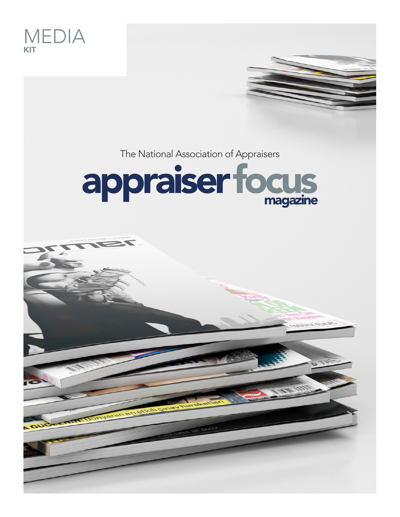

The National Association of Appraisers



THE REVIEW WITH REVENUE

PRESENTS TO YOU ITS

**2016 MEDIA KIT**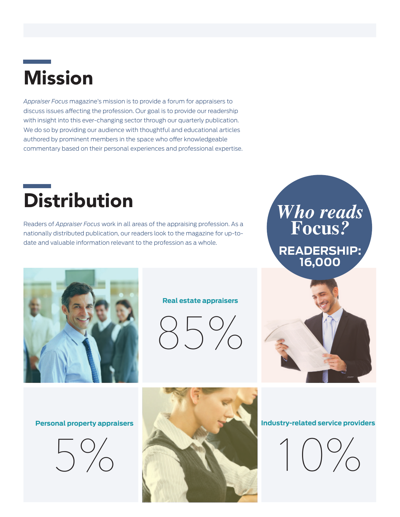## Mission

*Appraiser Focus* magazine's mission is to provide a forum for appraisers to discuss issues affecting the profession. Our goal is to provide our readership with insight into this ever-changing sector through our quarterly publication. We do so by providing our audience with thoughtful and educational articles authored by prominent members in the space who offer knowledgeable commentary based on their personal experiences and professional expertise.

### **Distribution**

Readers of *Appraiser Focus* work in all areas of the appraising profession. As a nationally distributed publication, our readers look to the magazine for up-todate and valuable information relevant to the profession as a whole.



**Real estate appraisers** 

85%

#### *Who reads* **Focus***?* **READERSHIP: 16,000**



#### **Personal property appraisers**





#### **Industry-related service providers**